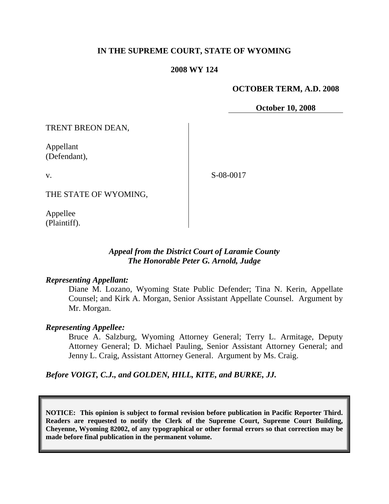## **IN THE SUPREME COURT, STATE OF WYOMING**

## **2008 WY 124**

### **OCTOBER TERM, A.D. 2008**

**October 10, 2008**

TRENT BREON DEAN,

Appellant (Defendant),

v.

S-08-0017

THE STATE OF WYOMING,

Appellee (Plaintiff).

# *Appeal from the District Court of Laramie County The Honorable Peter G. Arnold, Judge*

## *Representing Appellant:*

Diane M. Lozano, Wyoming State Public Defender; Tina N. Kerin, Appellate Counsel; and Kirk A. Morgan, Senior Assistant Appellate Counsel. Argument by Mr. Morgan.

### *Representing Appellee:*

Bruce A. Salzburg, Wyoming Attorney General; Terry L. Armitage, Deputy Attorney General; D. Michael Pauling, Senior Assistant Attorney General; and Jenny L. Craig, Assistant Attorney General. Argument by Ms. Craig.

*Before VOIGT, C.J., and GOLDEN, HILL, KITE, and BURKE, JJ.*

**NOTICE: This opinion is subject to formal revision before publication in Pacific Reporter Third. Readers are requested to notify the Clerk of the Supreme Court, Supreme Court Building, Cheyenne, Wyoming 82002, of any typographical or other formal errors so that correction may be made before final publication in the permanent volume.**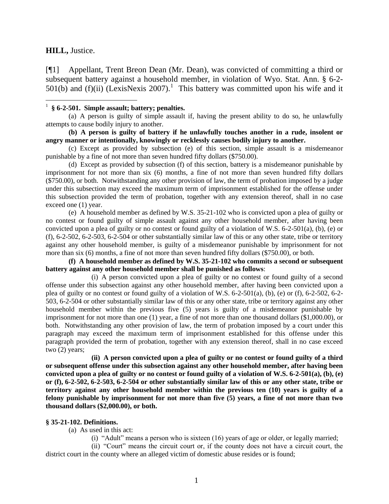#### **HILL,** Justice.

 $\overline{a}$ 

[¶1] Appellant, Trent Breon Dean (Mr. Dean), was convicted of committing a third or subsequent battery against a household member, in violation of Wyo. Stat. Ann. § 6-2-  $501(b)$  and (f)(ii) (LexisNexis 2007).<sup>1</sup> This battery was committed upon his wife and it

### 1 **§ 6-2-501. Simple assault; battery; penalties.**

(a) A person is guilty of simple assault if, having the present ability to do so, he unlawfully attempts to cause bodily injury to another.

**(b) A person is guilty of battery if he unlawfully touches another in a rude, insolent or angry manner or intentionally, knowingly or recklessly causes bodily injury to another.**

(c) Except as provided by subsection (e) of this section, simple assault is a misdemeanor punishable by a fine of not more than seven hundred fifty dollars (\$750.00).

(d) Except as provided by subsection (f) of this section, battery is a misdemeanor punishable by imprisonment for not more than six (6) months, a fine of not more than seven hundred fifty dollars (\$750.00), or both. Notwithstanding any other provision of law, the term of probation imposed by a judge under this subsection may exceed the maximum term of imprisonment established for the offense under this subsection provided the term of probation, together with any extension thereof, shall in no case exceed one (1) year.

(e) A household member as defined by W.S. 35-21-102 who is convicted upon a plea of guilty or no contest or found guilty of simple assault against any other household member, after having been convicted upon a plea of guilty or no contest or found guilty of a violation of W.S. 6-2-501(a), (b), (e) or (f), 6-2-502, 6-2-503, 6-2-504 or other substantially similar law of this or any other state, tribe or territory against any other household member, is guilty of a misdemeanor punishable by imprisonment for not more than six (6) months, a fine of not more than seven hundred fifty dollars (\$750.00), or both.

**(f) A household member as defined by W.S. 35-21-102 who commits a second or subsequent battery against any other household member shall be punished as follows**:

(i) A person convicted upon a plea of guilty or no contest or found guilty of a second offense under this subsection against any other household member, after having been convicted upon a plea of guilty or no contest or found guilty of a violation of W.S. 6-2-501(a), (b), (e) or (f), 6-2-502, 6-2- 503, 6-2-504 or other substantially similar law of this or any other state, tribe or territory against any other household member within the previous five (5) years is guilty of a misdemeanor punishable by imprisonment for not more than one (1) year, a fine of not more than one thousand dollars (\$1,000.00), or both. Notwithstanding any other provision of law, the term of probation imposed by a court under this paragraph may exceed the maximum term of imprisonment established for this offense under this paragraph provided the term of probation, together with any extension thereof, shall in no case exceed two (2) years;

**(ii) A person convicted upon a plea of guilty or no contest or found guilty of a third or subsequent offense under this subsection against any other household member, after having been convicted upon a plea of guilty or no contest or found guilty of a violation of W.S. 6-2-501(a), (b), (e) or (f), 6-2-502, 6-2-503, 6-2-504 or other substantially similar law of this or any other state, tribe or territory against any other household member within the previous ten (10) years is guilty of a felony punishable by imprisonment for not more than five (5) years, a fine of not more than two thousand dollars (\$2,000.00), or both.**

#### **§ 35-21-102. Definitions.**

(a) As used in this act:

(i) "Adult" means a person who is sixteen (16) years of age or older, or legally married;

(ii) "Court" means the circuit court or, if the county does not have a circuit court, the district court in the county where an alleged victim of domestic abuse resides or is found;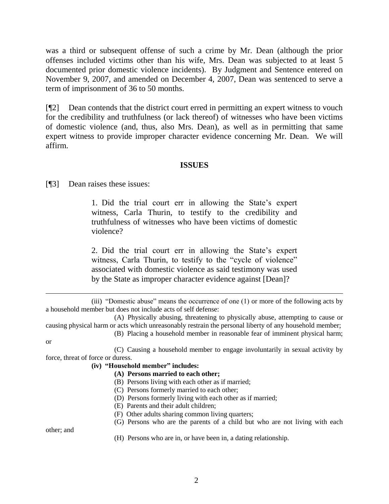was a third or subsequent offense of such a crime by Mr. Dean (although the prior offenses included victims other than his wife, Mrs. Dean was subjected to at least 5 documented prior domestic violence incidents). By Judgment and Sentence entered on November 9, 2007, and amended on December 4, 2007, Dean was sentenced to serve a term of imprisonment of 36 to 50 months.

[¶2] Dean contends that the district court erred in permitting an expert witness to vouch for the credibility and truthfulness (or lack thereof) of witnesses who have been victims of domestic violence (and, thus, also Mrs. Dean), as well as in permitting that same expert witness to provide improper character evidence concerning Mr. Dean. We will affirm.

## **ISSUES**

[¶3] Dean raises these issues:

1. Did the trial court err in allowing the State"s expert witness, Carla Thurin, to testify to the credibility and truthfulness of witnesses who have been victims of domestic violence?

2. Did the trial court err in allowing the State"s expert witness, Carla Thurin, to testify to the "cycle of violence" associated with domestic violence as said testimony was used by the State as improper character evidence against [Dean]?

or

### **(iv) "Household member" includes:**

- **(A) Persons married to each other;**
- (B) Persons living with each other as if married;
- (C) Persons formerly married to each other;
- (D) Persons formerly living with each other as if married;
- (E) Parents and their adult children;
- (F) Other adults sharing common living quarters;
- (G) Persons who are the parents of a child but who are not living with each

other; and

(H) Persons who are in, or have been in, a dating relationship.

<sup>(</sup>iii) "Domestic abuse" means the occurrence of one (1) or more of the following acts by a household member but does not include acts of self defense:

<sup>(</sup>A) Physically abusing, threatening to physically abuse, attempting to cause or causing physical harm or acts which unreasonably restrain the personal liberty of any household member; (B) Placing a household member in reasonable fear of imminent physical harm;

<sup>(</sup>C) Causing a household member to engage involuntarily in sexual activity by force, threat of force or duress.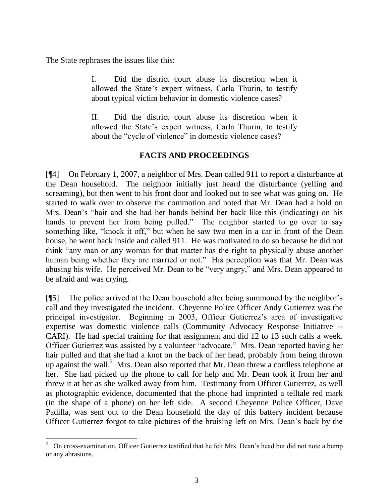The State rephrases the issues like this:

I. Did the district court abuse its discretion when it allowed the State"s expert witness, Carla Thurin, to testify about typical victim behavior in domestic violence cases?

II. Did the district court abuse its discretion when it allowed the State"s expert witness, Carla Thurin, to testify about the "cycle of violence" in domestic violence cases?

# **FACTS AND PROCEEDINGS**

[¶4] On February 1, 2007, a neighbor of Mrs. Dean called 911 to report a disturbance at the Dean household. The neighbor initially just heard the disturbance (yelling and screaming), but then went to his front door and looked out to see what was going on. He started to walk over to observe the commotion and noted that Mr. Dean had a hold on Mrs. Dean"s "hair and she had her hands behind her back like this (indicating) on his hands to prevent her from being pulled." The neighbor started to go over to say something like, "knock it off," but when he saw two men in a car in front of the Dean house, he went back inside and called 911. He was motivated to do so because he did not think "any man or any woman for that matter has the right to physically abuse another human being whether they are married or not." His perception was that Mr. Dean was abusing his wife. He perceived Mr. Dean to be "very angry," and Mrs. Dean appeared to be afraid and was crying.

[¶5] The police arrived at the Dean household after being summoned by the neighbor"s call and they investigated the incident. Cheyenne Police Officer Andy Gutierrez was the principal investigator. Beginning in 2003, Officer Gutierrez"s area of investigative expertise was domestic violence calls (Community Advocacy Response Initiative -- CARI). He had special training for that assignment and did 12 to 13 such calls a week. Officer Gutierrez was assisted by a volunteer "advocate." Mrs. Dean reported having her hair pulled and that she had a knot on the back of her head, probably from being thrown up against the wall.<sup>2</sup> Mrs. Dean also reported that Mr. Dean threw a cordless telephone at her. She had picked up the phone to call for help and Mr. Dean took it from her and threw it at her as she walked away from him. Testimony from Officer Gutierrez, as well as photographic evidence, documented that the phone had imprinted a telltale red mark (in the shape of a phone) on her left side. A second Cheyenne Police Officer, Dave Padilla, was sent out to the Dean household the day of this battery incident because Officer Gutierrez forgot to take pictures of the bruising left on Mrs. Dean"s back by the

<sup>&</sup>lt;sup>2</sup> On cross-examination, Officer Gutierrez testified that he felt Mrs. Dean's head but did not note a bump or any abrasions.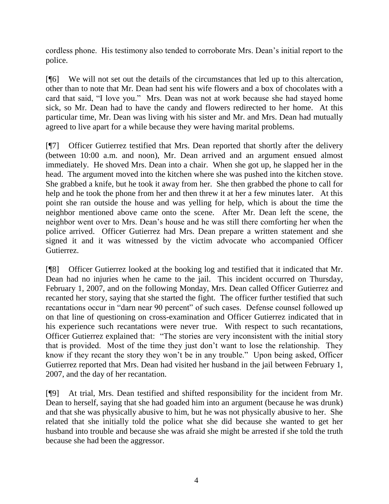cordless phone. His testimony also tended to corroborate Mrs. Dean"s initial report to the police.

[¶6] We will not set out the details of the circumstances that led up to this altercation, other than to note that Mr. Dean had sent his wife flowers and a box of chocolates with a card that said, "I love you." Mrs. Dean was not at work because she had stayed home sick, so Mr. Dean had to have the candy and flowers redirected to her home. At this particular time, Mr. Dean was living with his sister and Mr. and Mrs. Dean had mutually agreed to live apart for a while because they were having marital problems.

[¶7] Officer Gutierrez testified that Mrs. Dean reported that shortly after the delivery (between 10:00 a.m. and noon), Mr. Dean arrived and an argument ensued almost immediately. He shoved Mrs. Dean into a chair. When she got up, he slapped her in the head. The argument moved into the kitchen where she was pushed into the kitchen stove. She grabbed a knife, but he took it away from her. She then grabbed the phone to call for help and he took the phone from her and then threw it at her a few minutes later. At this point she ran outside the house and was yelling for help, which is about the time the neighbor mentioned above came onto the scene. After Mr. Dean left the scene, the neighbor went over to Mrs. Dean"s house and he was still there comforting her when the police arrived. Officer Gutierrez had Mrs. Dean prepare a written statement and she signed it and it was witnessed by the victim advocate who accompanied Officer Gutierrez.

[¶8] Officer Gutierrez looked at the booking log and testified that it indicated that Mr. Dean had no injuries when he came to the jail. This incident occurred on Thursday, February 1, 2007, and on the following Monday, Mrs. Dean called Officer Gutierrez and recanted her story, saying that she started the fight. The officer further testified that such recantations occur in "darn near 90 percent" of such cases. Defense counsel followed up on that line of questioning on cross-examination and Officer Gutierrez indicated that in his experience such recantations were never true. With respect to such recantations, Officer Gutierrez explained that: "The stories are very inconsistent with the initial story that is provided. Most of the time they just don"t want to lose the relationship. They know if they recant the story they won"t be in any trouble." Upon being asked, Officer Gutierrez reported that Mrs. Dean had visited her husband in the jail between February 1, 2007, and the day of her recantation.

[¶9] At trial, Mrs. Dean testified and shifted responsibility for the incident from Mr. Dean to herself, saying that she had goaded him into an argument (because he was drunk) and that she was physically abusive to him, but he was not physically abusive to her. She related that she initially told the police what she did because she wanted to get her husband into trouble and because she was afraid she might be arrested if she told the truth because she had been the aggressor.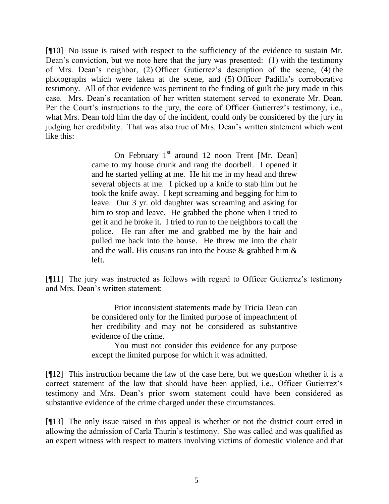[¶10] No issue is raised with respect to the sufficiency of the evidence to sustain Mr. Dean's conviction, but we note here that the jury was presented: (1) with the testimony of Mrs. Dean"s neighbor, (2) Officer Gutierrez"s description of the scene, (4) the photographs which were taken at the scene, and (5) Officer Padilla"s corroborative testimony. All of that evidence was pertinent to the finding of guilt the jury made in this case. Mrs. Dean"s recantation of her written statement served to exonerate Mr. Dean. Per the Court's instructions to the jury, the core of Officer Gutierrez's testimony, i.e., what Mrs. Dean told him the day of the incident, could only be considered by the jury in judging her credibility. That was also true of Mrs. Dean"s written statement which went like this:

> On February  $1<sup>st</sup>$  around 12 noon Trent [Mr. Dean] came to my house drunk and rang the doorbell. I opened it and he started yelling at me. He hit me in my head and threw several objects at me. I picked up a knife to stab him but he took the knife away. I kept screaming and begging for him to leave. Our 3 yr. old daughter was screaming and asking for him to stop and leave. He grabbed the phone when I tried to get it and he broke it. I tried to run to the neighbors to call the police. He ran after me and grabbed me by the hair and pulled me back into the house. He threw me into the chair and the wall. His cousins ran into the house  $\&$  grabbed him  $\&$ left.

[¶11] The jury was instructed as follows with regard to Officer Gutierrez"s testimony and Mrs. Dean"s written statement:

> Prior inconsistent statements made by Tricia Dean can be considered only for the limited purpose of impeachment of her credibility and may not be considered as substantive evidence of the crime.

> You must not consider this evidence for any purpose except the limited purpose for which it was admitted.

[¶12] This instruction became the law of the case here, but we question whether it is a correct statement of the law that should have been applied, i.e., Officer Gutierrez"s testimony and Mrs. Dean"s prior sworn statement could have been considered as substantive evidence of the crime charged under these circumstances.

[¶13] The only issue raised in this appeal is whether or not the district court erred in allowing the admission of Carla Thurin's testimony. She was called and was qualified as an expert witness with respect to matters involving victims of domestic violence and that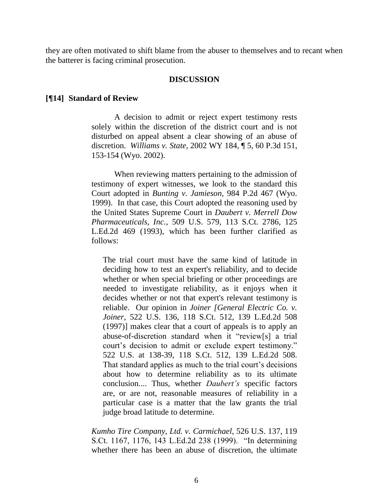they are often motivated to shift blame from the abuser to themselves and to recant when the batterer is facing criminal prosecution.

### **DISCUSSION**

### **[¶14] Standard of Review**

A decision to admit or reject expert testimony rests solely within the discretion of the district court and is not disturbed on appeal absent a clear showing of an abuse of discretion. *Williams v. State*, 2002 WY 184, ¶ 5, 60 P.3d 151, 153-154 (Wyo. 2002).

When reviewing matters pertaining to the admission of testimony of expert witnesses, we look to the standard this Court adopted in *Bunting v. Jamieson*, 984 P.2d 467 (Wyo. 1999). In that case, this Court adopted the reasoning used by the United States Supreme Court in *Daubert v. Merrell Dow Pharmaceuticals, Inc.*, 509 U.S. 579, 113 S.Ct. 2786, 125 L.Ed.2d 469 (1993), which has been further clarified as follows:

The trial court must have the same kind of latitude in deciding how to test an expert's reliability, and to decide whether or when special briefing or other proceedings are needed to investigate reliability, as it enjoys when it decides whether or not that expert's relevant testimony is reliable. Our opinion in *Joiner [General Electric Co. v. Joiner*, 522 U.S. 136, 118 S.Ct. 512, 139 L.Ed.2d 508 (1997)] makes clear that a court of appeals is to apply an abuse-of-discretion standard when it "review[s] a trial court's decision to admit or exclude expert testimony." 522 U.S. at 138-39, 118 S.Ct. 512, 139 L.Ed.2d 508. That standard applies as much to the trial court's decisions about how to determine reliability as to its ultimate conclusion.... Thus, whether *Daubert's* specific factors are, or are not, reasonable measures of reliability in a particular case is a matter that the law grants the trial judge broad latitude to determine.

*Kumho Tire Company, Ltd. v. Carmichael*, 526 U.S. 137, 119 S.Ct. 1167, 1176, 143 L.Ed.2d 238 (1999). "In determining whether there has been an abuse of discretion, the ultimate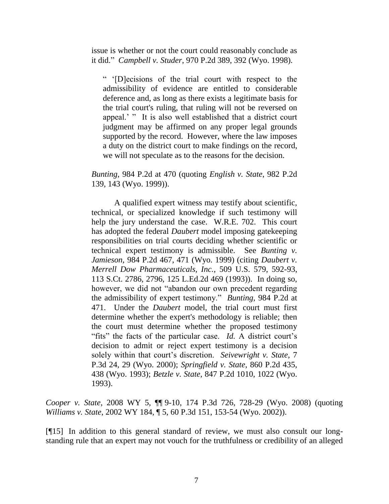issue is whether or not the court could reasonably conclude as it did." *Campbell v. Studer*, 970 P.2d 389, 392 (Wyo. 1998).

" "[D]ecisions of the trial court with respect to the admissibility of evidence are entitled to considerable deference and, as long as there exists a legitimate basis for the trial court's ruling, that ruling will not be reversed on appeal." " It is also well established that a district court judgment may be affirmed on any proper legal grounds supported by the record. However, where the law imposes a duty on the district court to make findings on the record, we will not speculate as to the reasons for the decision.

*Bunting*, 984 P.2d at 470 (quoting *English v. State*, 982 P.2d 139, 143 (Wyo. 1999)).

A qualified expert witness may testify about scientific, technical, or specialized knowledge if such testimony will help the jury understand the case. W.R.E. 702. This court has adopted the federal *Daubert* model imposing gatekeeping responsibilities on trial courts deciding whether scientific or technical expert testimony is admissible. See *Bunting v. Jamieson*, 984 P.2d 467, 471 (Wyo. 1999) (citing *Daubert v. Merrell Dow Pharmaceuticals, Inc.*, 509 U.S. 579, 592-93, 113 S.Ct. 2786, 2796, 125 L.Ed.2d 469 (1993)). In doing so, however, we did not "abandon our own precedent regarding the admissibility of expert testimony." *Bunting*, 984 P.2d at 471. Under the *Daubert* model, the trial court must first determine whether the expert's methodology is reliable; then the court must determine whether the proposed testimony "fits" the facts of the particular case. *Id.* A district court's decision to admit or reject expert testimony is a decision solely within that court's discretion. *Seivewright v. State*, 7 P.3d 24, 29 (Wyo. 2000); *Springfield v. State*, 860 P.2d 435, 438 (Wyo. 1993); *Betzle v. State*, 847 P.2d 1010, 1022 (Wyo. 1993).

*Cooper v. State*, 2008 WY 5, ¶¶ 9-10, 174 P.3d 726, 728-29 (Wyo. 2008) (quoting *Williams v. State*, 2002 WY 184, ¶ 5, 60 P.3d 151, 153-54 (Wyo. 2002)).

[¶15] In addition to this general standard of review, we must also consult our longstanding rule that an expert may not vouch for the truthfulness or credibility of an alleged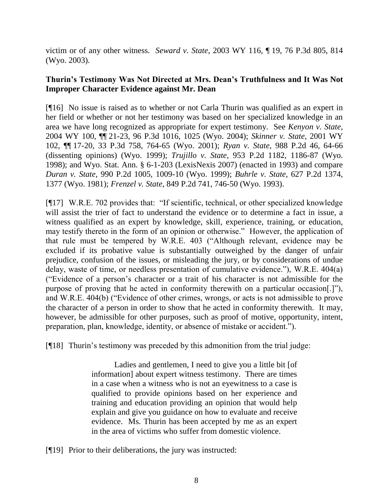victim or of any other witness. *Seward v. State*, 2003 WY 116, ¶ 19, 76 P.3d 805, 814 (Wyo. 2003).

# **Thurin's Testimony Was Not Directed at Mrs. Dean's Truthfulness and It Was Not Improper Character Evidence against Mr. Dean**

[¶16] No issue is raised as to whether or not Carla Thurin was qualified as an expert in her field or whether or not her testimony was based on her specialized knowledge in an area we have long recognized as appropriate for expert testimony. See *Kenyon v. State*, 2004 WY 100, ¶¶ 21-23, 96 P.3d 1016, 1025 (Wyo. 2004); *Skinner v. State*, 2001 WY 102, ¶¶ 17-20, 33 P.3d 758, 764-65 (Wyo. 2001); *Ryan v. State*, 988 P.2d 46, 64-66 (dissenting opinions) (Wyo. 1999); *Trujillo v. State*, 953 P.2d 1182, 1186-87 (Wyo. 1998); and Wyo. Stat. Ann. § 6-1-203 (LexisNexis 2007) (enacted in 1993) and compare *Duran v. State*, 990 P.2d 1005, 1009-10 (Wyo. 1999); *Buhrle v. State*, 627 P.2d 1374, 1377 (Wyo. 1981); *Frenzel v. State*, 849 P.2d 741, 746-50 (Wyo. 1993).

[¶17] W.R.E. 702 provides that: "If scientific, technical, or other specialized knowledge will assist the trier of fact to understand the evidence or to determine a fact in issue, a witness qualified as an expert by knowledge, skill, experience, training, or education, may testify thereto in the form of an opinion or otherwise." However, the application of that rule must be tempered by W.R.E. 403 ("Although relevant, evidence may be excluded if its probative value is substantially outweighed by the danger of unfair prejudice, confusion of the issues, or misleading the jury, or by considerations of undue delay, waste of time, or needless presentation of cumulative evidence."), W.R.E. 404(a) ("Evidence of a person"s character or a trait of his character is not admissible for the purpose of proving that he acted in conformity therewith on a particular occasion[.]"), and W.R.E. 404(b) ("Evidence of other crimes, wrongs, or acts is not admissible to prove the character of a person in order to show that he acted in conformity therewith. It may, however, be admissible for other purposes, such as proof of motive, opportunity, intent, preparation, plan, knowledge, identity, or absence of mistake or accident.").

[¶18] Thurin"s testimony was preceded by this admonition from the trial judge:

Ladies and gentlemen, I need to give you a little bit [of information] about expert witness testimony. There are times in a case when a witness who is not an eyewitness to a case is qualified to provide opinions based on her experience and training and education providing an opinion that would help explain and give you guidance on how to evaluate and receive evidence. Ms. Thurin has been accepted by me as an expert in the area of victims who suffer from domestic violence.

[¶19] Prior to their deliberations, the jury was instructed: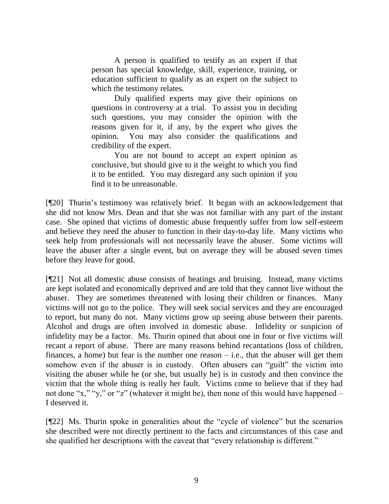A person is qualified to testify as an expert if that person has special knowledge, skill, experience, training, or education sufficient to qualify as an expert on the subject to which the testimony relates.

Duly qualified experts may give their opinions on questions in controversy at a trial. To assist you in deciding such questions, you may consider the opinion with the reasons given for it, if any, by the expert who gives the opinion. You may also consider the qualifications and credibility of the expert.

You are not bound to accept an expert opinion as conclusive, but should give to it the weight to which you find it to be entitled. You may disregard any such opinion if you find it to be unreasonable.

[¶20] Thurin"s testimony was relatively brief. It began with an acknowledgement that she did not know Mrs. Dean and that she was not familiar with any part of the instant case. She opined that victims of domestic abuse frequently suffer from low self-esteem and believe they need the abuser to function in their day-to-day life. Many victims who seek help from professionals will not necessarily leave the abuser. Some victims will leave the abuser after a single event, but on average they will be abused seven times before they leave for good.

[¶21] Not all domestic abuse consists of beatings and bruising. Instead, many victims are kept isolated and economically deprived and are told that they cannot live without the abuser. They are sometimes threatened with losing their children or finances. Many victims will not go to the police. They will seek social services and they are encouraged to report, but many do not. Many victims grow up seeing abuse between their parents. Alcohol and drugs are often involved in domestic abuse. Infidelity or suspicion of infidelity may be a factor. Ms. Thurin opined that about one in four or five victims will recant a report of abuse. There are many reasons behind recantations (loss of children, finances, a home) but fear is the number one reason  $-$  i.e., that the abuser will get them somehow even if the abuser is in custody. Often abusers can "guilt" the victim into visiting the abuser while he (or she, but usually he) is in custody and then convince the victim that the whole thing is really her fault. Victims come to believe that if they had not done "x," "y," or "z" (whatever it might be), then none of this would have happened – I deserved it.

[¶22] Ms. Thurin spoke in generalities about the "cycle of violence" but the scenarios she described were not directly pertinent to the facts and circumstances of this case and she qualified her descriptions with the caveat that "every relationship is different."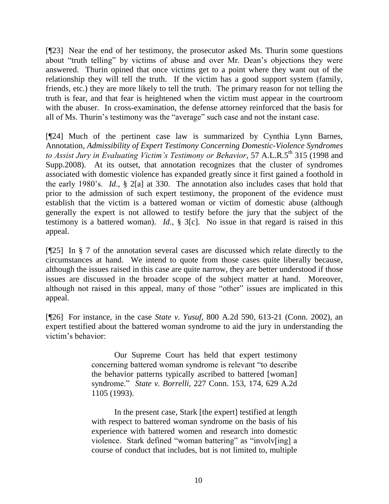[¶23] Near the end of her testimony, the prosecutor asked Ms. Thurin some questions about "truth telling" by victims of abuse and over Mr. Dean"s objections they were answered. Thurin opined that once victims get to a point where they want out of the relationship they will tell the truth. If the victim has a good support system (family, friends, etc.) they are more likely to tell the truth. The primary reason for not telling the truth is fear, and that fear is heightened when the victim must appear in the courtroom with the abuser. In cross-examination, the defense attorney reinforced that the basis for all of Ms. Thurin's testimony was the "average" such case and not the instant case.

[¶24] Much of the pertinent case law is summarized by Cynthia Lynn Barnes, Annotation, *Admissibility of Expert Testimony Concerning Domestic-Violence Syndromes*  to Assist Jury in Evaluating Victim's Testimony or Behavior, 57 A.L.R.5<sup>th</sup> 315 (1998 and Supp.2008). At its outset, that annotation recognizes that the cluster of syndromes associated with domestic violence has expanded greatly since it first gained a foothold in the early 1980"s. *Id*., § 2[a] at 330. The annotation also includes cases that hold that prior to the admission of such expert testimony, the proponent of the evidence must establish that the victim is a battered woman or victim of domestic abuse (although generally the expert is not allowed to testify before the jury that the subject of the testimony is a battered woman). *Id*., § 3[c]. No issue in that regard is raised in this appeal.

[¶25] In § 7 of the annotation several cases are discussed which relate directly to the circumstances at hand. We intend to quote from those cases quite liberally because, although the issues raised in this case are quite narrow, they are better understood if those issues are discussed in the broader scope of the subject matter at hand. Moreover, although not raised in this appeal, many of those "other" issues are implicated in this appeal.

[¶26] For instance, in the case *State v. Yusuf*, 800 A.2d 590, 613-21 (Conn. 2002), an expert testified about the battered woman syndrome to aid the jury in understanding the victim"s behavior:

> Our Supreme Court has held that expert testimony concerning battered woman syndrome is relevant "to describe the behavior patterns typically ascribed to battered [woman] syndrome." *[State v. Borrelli,](http://www.westlaw.com/Find/Default.wl?rs=dfa1.0&vr=2.0&DB=162&FindType=Y&SerialNum=1993159035)* [227 Conn. 153, 174, 629 A.2d](http://www.westlaw.com/Find/Default.wl?rs=dfa1.0&vr=2.0&DB=162&FindType=Y&SerialNum=1993159035)  1105 (1993).

> In the present case, Stark [the expert] testified at length with respect to battered woman syndrome on the basis of his experience with battered women and research into domestic violence. Stark defined "woman battering" as "involv[ing] a course of conduct that includes, but is not limited to, multiple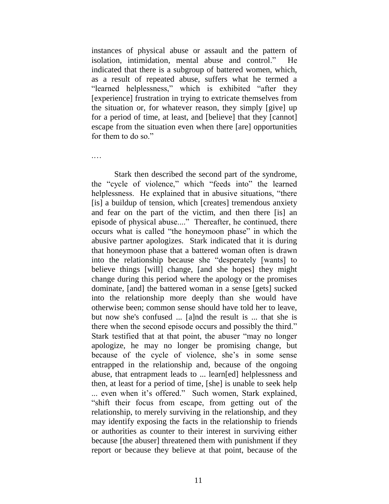instances of physical abuse or assault and the pattern of isolation, intimidation, mental abuse and control." He indicated that there is a subgroup of battered women, which, as a result of repeated abuse, suffers what he termed a "learned helplessness," which is exhibited "after they [experience] frustration in trying to extricate themselves from the situation or, for whatever reason, they simply [give] up for a period of time, at least, and [believe] that they [cannot] escape from the situation even when there [are] opportunities for them to do so."

.…

Stark then described the second part of the syndrome, the "cycle of violence," which "feeds into" the learned helplessness. He explained that in abusive situations, "there [is] a buildup of tension, which [creates] tremendous anxiety and fear on the part of the victim, and then there [is] an episode of physical abuse...." Thereafter, he continued, there occurs what is called "the honeymoon phase" in which the abusive partner apologizes. Stark indicated that it is during that honeymoon phase that a battered woman often is drawn into the relationship because she "desperately [wants] to believe things [will] change, [and she hopes] they might change during this period where the apology or the promises dominate, [and] the battered woman in a sense [gets] sucked into the relationship more deeply than she would have otherwise been; common sense should have told her to leave, but now she's confused ... [a]nd the result is ... that she is there when the second episode occurs and possibly the third." Stark testified that at that point, the abuser "may no longer apologize, he may no longer be promising change, but because of the cycle of violence, she"s in some sense entrapped in the relationship and, because of the ongoing abuse, that entrapment leads to ... learn[ed] helplessness and then, at least for a period of time, [she] is unable to seek help ... even when it's offered." Such women, Stark explained, "shift their focus from escape, from getting out of the relationship, to merely surviving in the relationship, and they may identify exposing the facts in the relationship to friends or authorities as counter to their interest in surviving either because [the abuser] threatened them with punishment if they report or because they believe at that point, because of the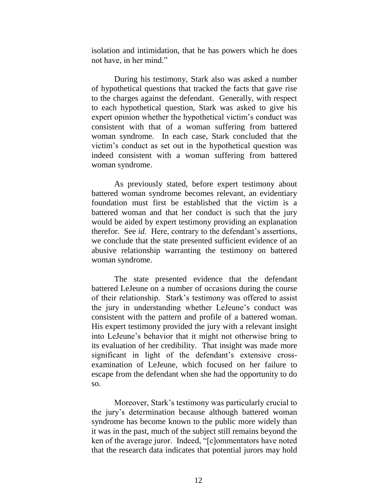isolation and intimidation, that he has powers which he does not have, in her mind."

During his testimony, Stark also was asked a number of hypothetical questions that tracked the facts that gave rise to the charges against the defendant. Generally, with respect to each hypothetical question, Stark was asked to give his expert opinion whether the hypothetical victim"s conduct was consistent with that of a woman suffering from battered woman syndrome. In each case, Stark concluded that the victim"s conduct as set out in the hypothetical question was indeed consistent with a woman suffering from battered woman syndrome.

As previously stated, before expert testimony about battered woman syndrome becomes relevant, an evidentiary foundation must first be established that the victim is a battered woman and that her conduct is such that the jury would be aided by expert testimony providing an explanation therefor. See *id*. Here, contrary to the defendant's assertions, we conclude that the state presented sufficient evidence of an abusive relationship warranting the testimony on battered woman syndrome.

The state presented evidence that the defendant battered LeJeune on a number of occasions during the course of their relationship. Stark"s testimony was offered to assist the jury in understanding whether LeJeune"s conduct was consistent with the pattern and profile of a battered woman. His expert testimony provided the jury with a relevant insight into LeJeune"s behavior that it might not otherwise bring to its evaluation of her credibility. That insight was made more significant in light of the defendant's extensive crossexamination of LeJeune, which focused on her failure to escape from the defendant when she had the opportunity to do so.

Moreover, Stark"s testimony was particularly crucial to the jury"s determination because although battered woman syndrome has become known to the public more widely than it was in the past, much of the subject still remains beyond the ken of the average juror. Indeed, "[c]ommentators have noted that the research data indicates that potential jurors may hold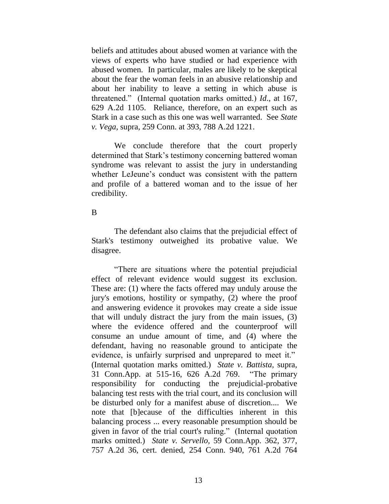beliefs and attitudes about abused women at variance with the views of experts who have studied or had experience with abused women. In particular, males are likely to be skeptical about the fear the woman feels in an abusive relationship and about her inability to leave a setting in which abuse is threatened." (Internal quotation marks omitted.) *Id*., at 167, [629 A.2d 1105.](http://www.westlaw.com/Find/Default.wl?rs=dfa1.0&vr=2.0&DB=162&FindType=Y&SerialNum=1993159035) Reliance, therefore, on an expert such as Stark in a case such as this one was well warranted. See *[State](http://www.westlaw.com/Find/Default.wl?rs=dfa1.0&vr=2.0&DB=162&FindType=Y&SerialNum=2002103231)  [v. Vega,](http://www.westlaw.com/Find/Default.wl?rs=dfa1.0&vr=2.0&DB=162&FindType=Y&SerialNum=2002103231)* [supra, 259 Conn. at 393, 788 A.2d 1221.](http://www.westlaw.com/Find/Default.wl?rs=dfa1.0&vr=2.0&DB=162&FindType=Y&SerialNum=2002103231)

We conclude therefore that the court properly determined that Stark"s testimony concerning battered woman syndrome was relevant to assist the jury in understanding whether LeJeune's conduct was consistent with the pattern and profile of a battered woman and to the issue of her credibility.

### B

The defendant also claims that the prejudicial effect of Stark's testimony outweighed its probative value. We disagree.

"There are situations where the potential prejudicial effect of relevant evidence would suggest its exclusion. These are: (1) where the facts offered may unduly arouse the jury's emotions, hostility or sympathy, (2) where the proof and answering evidence it provokes may create a side issue that will unduly distract the jury from the main issues, (3) where the evidence offered and the counterproof will consume an undue amount of time, and (4) where the defendant, having no reasonable ground to anticipate the evidence, is unfairly surprised and unprepared to meet it." (Internal quotation marks omitted.) *[State v. Battista,](http://www.westlaw.com/Find/Default.wl?rs=dfa1.0&vr=2.0&DB=162&FindType=Y&SerialNum=1993115768)* [supra,](http://www.westlaw.com/Find/Default.wl?rs=dfa1.0&vr=2.0&DB=162&FindType=Y&SerialNum=1993115768)  31 Conn.App. at 515-16, 626 A.2d 769. "The primary responsibility for conducting the prejudicial-probative balancing test rests with the trial court, and its conclusion will be disturbed only for a manifest abuse of discretion.... We note that [b]ecause of the difficulties inherent in this balancing process ... every reasonable presumption should be given in favor of the trial court's ruling." (Internal quotation marks omitted.) *[State v. Servello,](http://www.westlaw.com/Find/Default.wl?rs=dfa1.0&vr=2.0&DB=162&FindType=Y&SerialNum=2000469994)* [59 Conn.App. 362, 377,](http://www.westlaw.com/Find/Default.wl?rs=dfa1.0&vr=2.0&DB=162&FindType=Y&SerialNum=2000469994)  757 A.2d 36, cert. denied, [254 Conn. 940, 761 A.2d 764](http://www.westlaw.com/Find/Default.wl?rs=dfa1.0&vr=2.0&DB=162&FindType=Y&SerialNum=2000615675)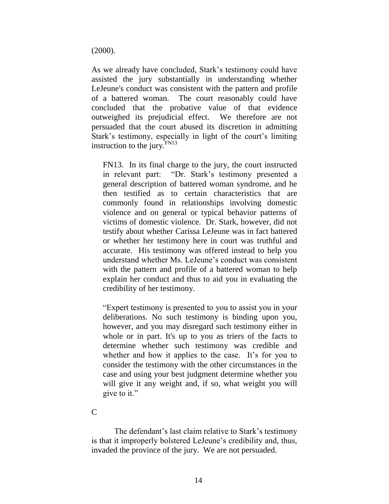(2000).

As we already have concluded, Stark"s testimony could have assisted the jury substantially in understanding whether LeJeune's conduct was consistent with the pattern and profile of a battered woman. The court reasonably could have concluded that the probative value of that evidence outweighed its prejudicial effect. We therefore are not persuaded that the court abused its discretion in admitting Stark's testimony, especially in light of the court's limiting instruction to the jury.[FN13](#page-14-0)

<span id="page-14-1"></span><span id="page-14-0"></span>[FN13.](#page-14-1) In its final charge to the jury, the court instructed in relevant part: "Dr. Stark's testimony presented a general description of battered woman syndrome, and he then testified as to certain characteristics that are commonly found in relationships involving domestic violence and on general or typical behavior patterns of victims of domestic violence. Dr. Stark, however, did not testify about whether Carissa LeJeune was in fact battered or whether her testimony here in court was truthful and accurate. His testimony was offered instead to help you understand whether Ms. LeJeune"s conduct was consistent with the pattern and profile of a battered woman to help explain her conduct and thus to aid you in evaluating the credibility of her testimony.

"Expert testimony is presented to you to assist you in your deliberations. No such testimony is binding upon you, however, and you may disregard such testimony either in whole or in part. It's up to you as triers of the facts to determine whether such testimony was credible and whether and how it applies to the case. It's for you to consider the testimony with the other circumstances in the case and using your best judgment determine whether you will give it any weight and, if so, what weight you will give to it."

 $\mathcal{C}$ 

The defendant's last claim relative to Stark's testimony is that it improperly bolstered LeJeune"s credibility and, thus, invaded the province of the jury. We are not persuaded.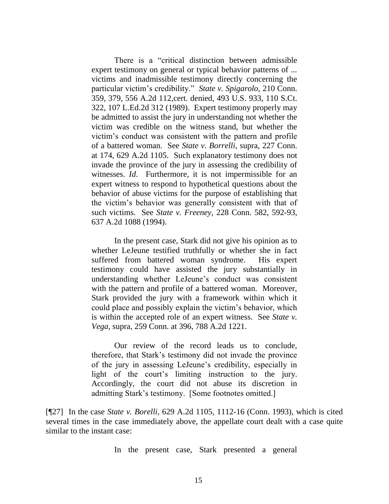There is a "critical distinction between admissible expert testimony on general or typical behavior patterns of ... victims and inadmissible testimony directly concerning the particular victim"s credibility." *[State v. Spigarolo,](http://www.westlaw.com/Find/Default.wl?rs=dfa1.0&vr=2.0&DB=162&FindType=Y&SerialNum=1989039735)* [210 Conn.](http://www.westlaw.com/Find/Default.wl?rs=dfa1.0&vr=2.0&DB=162&FindType=Y&SerialNum=1989039735)  359, 379, 556 A.2d 112,cert. denied, [493 U.S. 933, 110 S.Ct.](http://www.westlaw.com/Find/Default.wl?rs=dfa1.0&vr=2.0&DB=708&FindType=Y&SerialNum=1989142453)  [322, 107 L.Ed.2d 312 \(1989\).](http://www.westlaw.com/Find/Default.wl?rs=dfa1.0&vr=2.0&DB=708&FindType=Y&SerialNum=1989142453) Expert testimony properly may be admitted to assist the jury in understanding not whether the victim was credible on the witness stand, but whether the victim"s conduct was consistent with the pattern and profile of a battered woman. See *[State v. Borrelli,](http://www.westlaw.com/Find/Default.wl?rs=dfa1.0&vr=2.0&DB=162&FindType=Y&SerialNum=1993159035)* [supra, 227 Conn.](http://www.westlaw.com/Find/Default.wl?rs=dfa1.0&vr=2.0&DB=162&FindType=Y&SerialNum=1993159035)  at 174, 629 A.2d 1105. Such explanatory testimony does not invade the province of the jury in assessing the credibility of witnesses. *Id*. Furthermore, it is not impermissible for an expert witness to respond to hypothetical questions about the behavior of abuse victims for the purpose of establishing that the victim"s behavior was generally consistent with that of such victims. See *[State v. Freeney,](http://www.westlaw.com/Find/Default.wl?rs=dfa1.0&vr=2.0&DB=162&FindType=Y&SerialNum=1994054209)* [228 Conn. 582, 592-93,](http://www.westlaw.com/Find/Default.wl?rs=dfa1.0&vr=2.0&DB=162&FindType=Y&SerialNum=1994054209)  637 A.2d 1088 (1994).

In the present case, Stark did not give his opinion as to whether LeJeune testified truthfully or whether she in fact suffered from battered woman syndrome. His expert testimony could have assisted the jury substantially in understanding whether LeJeune's conduct was consistent with the pattern and profile of a battered woman. Moreover, Stark provided the jury with a framework within which it could place and possibly explain the victim"s behavior, which is within the accepted role of an expert witness. See *[State v.](http://www.westlaw.com/Find/Default.wl?rs=dfa1.0&vr=2.0&DB=162&FindType=Y&SerialNum=2002103231)  [Vega,](http://www.westlaw.com/Find/Default.wl?rs=dfa1.0&vr=2.0&DB=162&FindType=Y&SerialNum=2002103231)* [supra, 259 Conn. at 396, 788 A.2d 1221.](http://www.westlaw.com/Find/Default.wl?rs=dfa1.0&vr=2.0&DB=162&FindType=Y&SerialNum=2002103231)

Our review of the record leads us to conclude, therefore, that Stark"s testimony did not invade the province of the jury in assessing LeJeune"s credibility, especially in light of the court's limiting instruction to the jury. Accordingly, the court did not abuse its discretion in admitting Stark"s testimony. [Some footnotes omitted.]

[¶27] In the case *State v. Borelli*, 629 A.2d 1105, 1112-16 (Conn. 1993), which is cited several times in the case immediately above, the appellate court dealt with a case quite similar to the instant case:

In the present case, Stark presented a general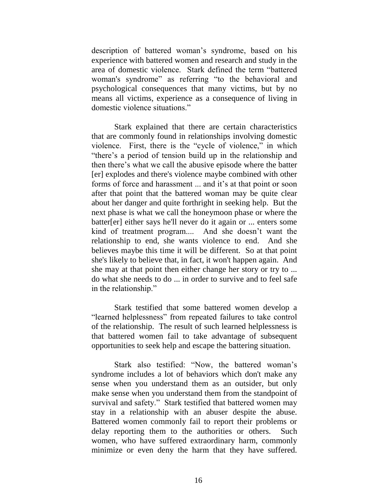description of battered woman"s syndrome, based on his experience with battered women and research and study in the area of domestic violence. Stark defined the term "battered woman's syndrome" as referring "to the behavioral and psychological consequences that many victims, but by no means all victims, experience as a consequence of living in domestic violence situations."

Stark explained that there are certain characteristics that are commonly found in relationships involving domestic violence. First, there is the "cycle of violence," in which "there"s a period of tension build up in the relationship and then there"s what we call the abusive episode where the batter [er] explodes and there's violence maybe combined with other forms of force and harassment ... and it's at that point or soon after that point that the battered woman may be quite clear about her danger and quite forthright in seeking help. But the next phase is what we call the honeymoon phase or where the batter[er] either says he'll never do it again or ... enters some kind of treatment program.... And she doesn"t want the relationship to end, she wants violence to end. And she believes maybe this time it will be different. So at that point she's likely to believe that, in fact, it won't happen again. And she may at that point then either change her story or try to ... do what she needs to do ... in order to survive and to feel safe in the relationship."

Stark testified that some battered women develop a "learned helplessness" from repeated failures to take control of the relationship. The result of such learned helplessness is that battered women fail to take advantage of subsequent opportunities to seek help and escape the battering situation.

Stark also testified: "Now, the battered woman's syndrome includes a lot of behaviors which don't make any sense when you understand them as an outsider, but only make sense when you understand them from the standpoint of survival and safety." Stark testified that battered women may stay in a relationship with an abuser despite the abuse. Battered women commonly fail to report their problems or delay reporting them to the authorities or others. Such women, who have suffered extraordinary harm, commonly minimize or even deny the harm that they have suffered.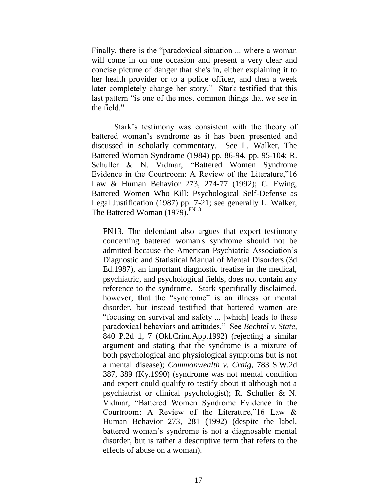Finally, there is the "paradoxical situation ... where a woman will come in on one occasion and present a very clear and concise picture of danger that she's in, either explaining it to her health provider or to a police officer, and then a week later completely change her story." Stark testified that this last pattern "is one of the most common things that we see in the field."

Stark"s testimony was consistent with the theory of battered woman"s syndrome as it has been presented and discussed in scholarly commentary. See L. Walker, The Battered Woman Syndrome (1984) pp. 86-94, pp. 95-104; R. Schuller & N. Vidmar, "Battered Women Syndrome Evidence in the Courtroom: A Review of the Literature,"16 Law & Human Behavior 273, 274-77 (1992); C. Ewing, Battered Women Who Kill: Psychological Self-Defense as Legal Justification (1987) pp. 7-21; see generally L. Walker, The Battered Woman (1979).<sup>[FN13](#page-17-0)</sup>

<span id="page-17-1"></span><span id="page-17-0"></span>[FN13.](#page-17-1) The defendant also argues that expert testimony concerning battered woman's syndrome should not be admitted because the American Psychiatric Association"s Diagnostic and Statistical Manual of Mental Disorders (3d Ed.1987), an important diagnostic treatise in the medical, psychiatric, and psychological fields, does not contain any reference to the syndrome. Stark specifically disclaimed, however, that the "syndrome" is an illness or mental disorder, but instead testified that battered women are "focusing on survival and safety ... [which] leads to these paradoxical behaviors and attitudes." See *[Bechtel v. State,](http://www.westlaw.com/Find/Default.wl?rs=dfa1.0&vr=2.0&DB=661&FindType=Y&ReferencePositionType=S&SerialNum=1992153953&ReferencePosition=7)* 840 P.2d 1, 7 (Okl.Crim.App.1992) (rejecting a similar argument and stating that the syndrome is a mixture of both psychological and physiological symptoms but is not a mental disease); *[Commonwealth v. Craig,](http://www.westlaw.com/Find/Default.wl?rs=dfa1.0&vr=2.0&DB=713&FindType=Y&ReferencePositionType=S&SerialNum=1990023423&ReferencePosition=389)* [783 S.W.2d](http://www.westlaw.com/Find/Default.wl?rs=dfa1.0&vr=2.0&DB=713&FindType=Y&ReferencePositionType=S&SerialNum=1990023423&ReferencePosition=389)  387, 389 (Ky.1990) (syndrome was not mental condition and expert could qualify to testify about it although not a psychiatrist or clinical psychologist); R. Schuller & N. Vidmar, "Battered Women Syndrome Evidence in the Courtroom: A Review of the Literature,"16 Law & Human Behavior 273, 281 (1992) (despite the label, battered woman"s syndrome is not a diagnosable mental disorder, but is rather a descriptive term that refers to the effects of abuse on a woman).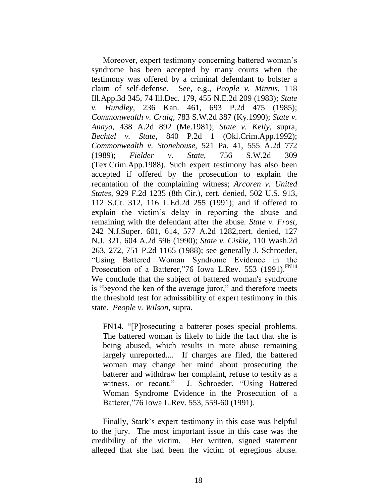Moreover, expert testimony concerning battered woman"s syndrome has been accepted by many courts when the testimony was offered by a criminal defendant to bolster a claim of self-defense. See, e.g., *[People v. Minnis,](http://www.westlaw.com/Find/Default.wl?rs=dfa1.0&vr=2.0&DB=578&FindType=Y&SerialNum=1983144657)* [118](http://www.westlaw.com/Find/Default.wl?rs=dfa1.0&vr=2.0&DB=578&FindType=Y&SerialNum=1983144657)  Ill.App.3d 345, 74 Ill.Dec. 179, 455 N.E.2d 209 (1983); *[State](http://www.westlaw.com/Find/Default.wl?rs=dfa1.0&vr=2.0&DB=661&FindType=Y&SerialNum=1985102933)  [v. Hundley,](http://www.westlaw.com/Find/Default.wl?rs=dfa1.0&vr=2.0&DB=661&FindType=Y&SerialNum=1985102933)* [236 Kan. 461, 693 P.2d 475 \(1985\);](http://www.westlaw.com/Find/Default.wl?rs=dfa1.0&vr=2.0&DB=661&FindType=Y&SerialNum=1985102933) *[Commonwealth v. Craig,](http://www.westlaw.com/Find/Default.wl?rs=dfa1.0&vr=2.0&DB=713&FindType=Y&SerialNum=1990023423)* [783 S.W.2d 387 \(Ky.1990\);](http://www.westlaw.com/Find/Default.wl?rs=dfa1.0&vr=2.0&DB=713&FindType=Y&SerialNum=1990023423) *[State v.](http://www.westlaw.com/Find/Default.wl?rs=dfa1.0&vr=2.0&DB=162&FindType=Y&SerialNum=1982100847)  [Anaya,](http://www.westlaw.com/Find/Default.wl?rs=dfa1.0&vr=2.0&DB=162&FindType=Y&SerialNum=1982100847)* [438 A.2d 892 \(Me.1981\);](http://www.westlaw.com/Find/Default.wl?rs=dfa1.0&vr=2.0&DB=162&FindType=Y&SerialNum=1982100847) *State v. Kelly,* supra; *[Bechtel v. State,](http://www.westlaw.com/Find/Default.wl?rs=dfa1.0&vr=2.0&DB=661&FindType=Y&SerialNum=1992153953)* [840 P.2d 1 \(Okl.Crim.App.1992\);](http://www.westlaw.com/Find/Default.wl?rs=dfa1.0&vr=2.0&DB=661&FindType=Y&SerialNum=1992153953) *[Commonwealth v. Stonehouse,](http://www.westlaw.com/Find/Default.wl?rs=dfa1.0&vr=2.0&DB=162&FindType=Y&SerialNum=1989032545)* [521 Pa. 41, 555 A.2d 772](http://www.westlaw.com/Find/Default.wl?rs=dfa1.0&vr=2.0&DB=162&FindType=Y&SerialNum=1989032545)  (1989); *[Fielder v. State,](http://www.westlaw.com/Find/Default.wl?rs=dfa1.0&vr=2.0&DB=713&FindType=Y&SerialNum=1988075793)* [756 S.W.2d 309](http://www.westlaw.com/Find/Default.wl?rs=dfa1.0&vr=2.0&DB=713&FindType=Y&SerialNum=1988075793)  (Tex.Crim.App.1988). Such expert testimony has also been accepted if offered by the prosecution to explain the recantation of the complaining witness; *[Arcoren v. United](http://www.westlaw.com/Find/Default.wl?rs=dfa1.0&vr=2.0&DB=350&FindType=Y&SerialNum=1991069881)  [States,](http://www.westlaw.com/Find/Default.wl?rs=dfa1.0&vr=2.0&DB=350&FindType=Y&SerialNum=1991069881)* [929 F.2d 1235 \(8th Cir.\),](http://www.westlaw.com/Find/Default.wl?rs=dfa1.0&vr=2.0&DB=350&FindType=Y&SerialNum=1991069881) cert. denied, [502 U.S. 913,](http://www.westlaw.com/Find/Default.wl?rs=dfa1.0&vr=2.0&DB=708&FindType=Y&SerialNum=1991151254)  [112 S.Ct. 312, 116 L.Ed.2d 255 \(1991\);](http://www.westlaw.com/Find/Default.wl?rs=dfa1.0&vr=2.0&DB=708&FindType=Y&SerialNum=1991151254) and if offered to explain the victim"s delay in reporting the abuse and remaining with the defendant after the abuse. *[State v. Frost,](http://www.westlaw.com/Find/Default.wl?rs=dfa1.0&vr=2.0&DB=162&FindType=Y&SerialNum=1990123608)* 242 N.J.Super. 601, 614, 577 A.2d 1282,cert. denied, [127](http://www.westlaw.com/Find/Default.wl?rs=dfa1.0&vr=2.0&DB=162&FindType=Y&SerialNum=1992056498)  [N.J. 321, 604 A.2d 596 \(1990\);](http://www.westlaw.com/Find/Default.wl?rs=dfa1.0&vr=2.0&DB=162&FindType=Y&SerialNum=1992056498) *[State v. Ciskie,](http://www.westlaw.com/Find/Default.wl?rs=dfa1.0&vr=2.0&DB=661&FindType=Y&SerialNum=1988037505)* [110 Wash.2d](http://www.westlaw.com/Find/Default.wl?rs=dfa1.0&vr=2.0&DB=661&FindType=Y&SerialNum=1988037505)  263, 272, 751 P.2d 1165 (1988); see generally J. Schroeder, "Using Battered Woman Syndrome Evidence in the Prosecution of a Batterer,["76 Iowa L.Rev. 553 \(1991\).](http://www.westlaw.com/Find/Default.wl?rs=dfa1.0&vr=2.0&DB=1168&FindType=Y&SerialNum=0100997692)<sup>[FN14](#page-18-0)</sup> We conclude that the subject of battered woman's syndrome is "beyond the ken of the average juror," and therefore meets the threshold test for admissibility of expert testimony in this state. *People v. Wilson,* supra.

<span id="page-18-1"></span><span id="page-18-0"></span>[FN14.](#page-18-1) "[P]rosecuting a batterer poses special problems. The battered woman is likely to hide the fact that she is being abused, which results in mate abuse remaining largely unreported.... If charges are filed, the battered woman may change her mind about prosecuting the batterer and withdraw her complaint, refuse to testify as a witness, or recant." J. Schroeder, "Using Battered Woman Syndrome Evidence in the Prosecution of a Batterer,["76 Iowa L.Rev. 553, 559-60 \(1991\).](http://www.westlaw.com/Find/Default.wl?rs=dfa1.0&vr=2.0&DB=1168&FindType=Y&ReferencePositionType=S&SerialNum=0100997692&ReferencePosition=559)

Finally, Stark"s expert testimony in this case was helpful to the jury. The most important issue in this case was the credibility of the victim. Her written, signed statement alleged that she had been the victim of egregious abuse.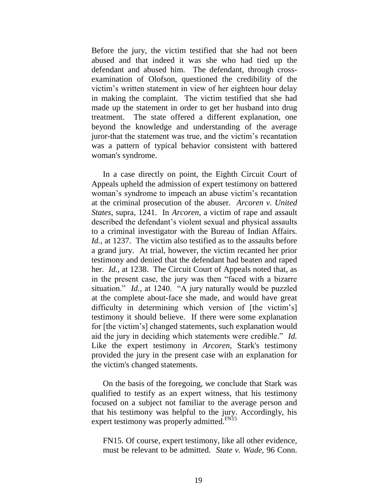Before the jury, the victim testified that she had not been abused and that indeed it was she who had tied up the defendant and abused him. The defendant, through crossexamination of Olofson, questioned the credibility of the victim"s written statement in view of her eighteen hour delay in making the complaint. The victim testified that she had made up the statement in order to get her husband into drug treatment. The state offered a different explanation, one beyond the knowledge and understanding of the average juror-that the statement was true, and the victim"s recantation was a pattern of typical behavior consistent with battered woman's syndrome.

In a case directly on point, the Eighth Circuit Court of Appeals upheld the admission of expert testimony on battered woman's syndrome to impeach an abuse victim's recantation at the criminal prosecution of the abuser. *Arcoren v. United States,* supra, 1241. In *Arcoren,* a victim of rape and assault described the defendant's violent sexual and physical assaults to a criminal investigator with the Bureau of Indian Affairs. *Id.,* at 1237. The victim also testified as to the assaults before a grand jury. At trial, however, the victim recanted her prior testimony and denied that the defendant had beaten and raped her. *Id.,* at 1238. The Circuit Court of Appeals noted that, as in the present case, the jury was then "faced with a bizarre situation." *Id.,* at 1240. "A jury naturally would be puzzled at the complete about-face she made, and would have great difficulty in determining which version of [the victim's] testimony it should believe. If there were some explanation for [the victim"s] changed statements, such explanation would aid the jury in deciding which statements were credible." *Id.* Like the expert testimony in *Arcoren,* Stark's testimony provided the jury in the present case with an explanation for the victim's changed statements.

On the basis of the foregoing, we conclude that Stark was qualified to testify as an expert witness, that his testimony focused on a subject not familiar to the average person and that his testimony was helpful to the jury. Accordingly, his expert testimony was properly admitted.<sup>[FN15](#page-19-0)</sup>

<span id="page-19-1"></span><span id="page-19-0"></span>[FN15.](#page-19-1) Of course, expert testimony, like all other evidence, must be relevant to be admitted. *[State v. Wade,](http://www.westlaw.com/Find/Default.wl?rs=dfa1.0&vr=2.0&DB=161&FindType=Y&SerialNum=1921110259)* [96 Conn.](http://www.westlaw.com/Find/Default.wl?rs=dfa1.0&vr=2.0&DB=161&FindType=Y&SerialNum=1921110259)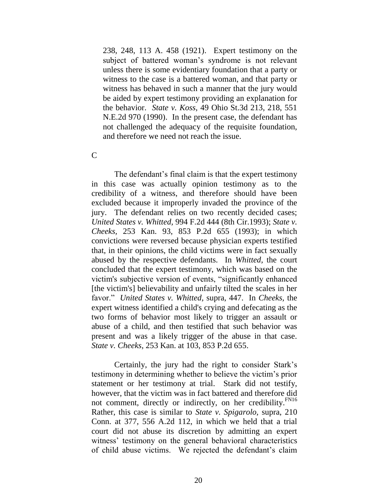238, 248, 113 A. 458 (1921). Expert testimony on the subject of battered woman"s syndrome is not relevant unless there is some evidentiary foundation that a party or witness to the case is a battered woman, and that party or witness has behaved in such a manner that the jury would be aided by expert testimony providing an explanation for the behavior. *[State v. Koss,](http://www.westlaw.com/Find/Default.wl?rs=dfa1.0&vr=2.0&DB=578&FindType=Y&SerialNum=1990046242)* [49 Ohio St.3d 213, 218, 551](http://www.westlaw.com/Find/Default.wl?rs=dfa1.0&vr=2.0&DB=578&FindType=Y&SerialNum=1990046242)  N.E.2d 970 (1990). In the present case, the defendant has not challenged the adequacy of the requisite foundation, and therefore we need not reach the issue.

 $\mathcal{C}$ 

The defendant's final claim is that the expert testimony in this case was actually opinion testimony as to the credibility of a witness, and therefore should have been excluded because it improperly invaded the province of the jury. The defendant relies on two recently decided cases; *[United States v. Whitted,](http://www.westlaw.com/Find/Default.wl?rs=dfa1.0&vr=2.0&DB=350&FindType=Y&SerialNum=1993109571)* [994 F.2d 444 \(8th Cir.1993\);](http://www.westlaw.com/Find/Default.wl?rs=dfa1.0&vr=2.0&DB=350&FindType=Y&SerialNum=1993109571) *[State v.](http://www.westlaw.com/Find/Default.wl?rs=dfa1.0&vr=2.0&DB=661&FindType=Y&SerialNum=1993114457)  [Cheeks,](http://www.westlaw.com/Find/Default.wl?rs=dfa1.0&vr=2.0&DB=661&FindType=Y&SerialNum=1993114457)* 253 Kan. [93, 853 P.2d 655 \(1993\);](http://www.westlaw.com/Find/Default.wl?rs=dfa1.0&vr=2.0&DB=661&FindType=Y&SerialNum=1993114457) in which convictions were reversed because physician experts testified that, in their opinions, the child victims were in fact sexually abused by the respective defendants. In *Whitted,* the court concluded that the expert testimony, which was based on the victim's subjective version of events, "significantly enhanced [the victim's] believability and unfairly tilted the scales in her favor." *United States v. Whitted,* supra, 447. In *Cheeks,* the expert witness identified a child's crying and defecating as the two forms of behavior most likely to trigger an assault or abuse of a child, and then testified that such behavior was present and was a likely trigger of the abuse in that case. *[State v. Cheeks,](http://www.westlaw.com/Find/Default.wl?rs=dfa1.0&vr=2.0&DB=661&FindType=Y&SerialNum=1993114457)* [253 Kan. at 103, 853 P.2d 655.](http://www.westlaw.com/Find/Default.wl?rs=dfa1.0&vr=2.0&DB=661&FindType=Y&SerialNum=1993114457)

<span id="page-20-0"></span>Certainly, the jury had the right to consider Stark"s testimony in determining whether to believe the victim"s prior statement or her testimony at trial. Stark did not testify, however, that the victim was in fact battered and therefore did not comment, directly or indirectly, on her credibility. [FN16](#page-21-0) Rather, this case is similar to *[State v. Spigarolo,](http://www.westlaw.com/Find/Default.wl?rs=dfa1.0&vr=2.0&DB=162&FindType=Y&SerialNum=1989039735)* [supra, 210](http://www.westlaw.com/Find/Default.wl?rs=dfa1.0&vr=2.0&DB=162&FindType=Y&SerialNum=1989039735)  Conn. at 377, 556 A.2d 112, in which we held that a trial court did not abuse its discretion by admitting an expert witness' testimony on the general behavioral characteristics of child abuse victims. We rejected the defendant"s claim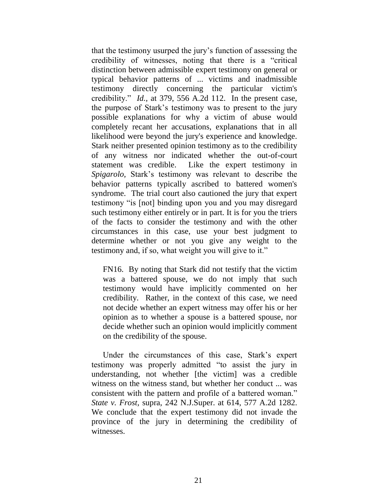that the testimony usurped the jury"s function of assessing the credibility of witnesses, noting that there is a "critical distinction between admissible expert testimony on general or typical behavior patterns of ... victims and inadmissible testimony directly concerning the particular victim's credibility." *[Id.,](http://www.westlaw.com/Find/Default.wl?rs=dfa1.0&vr=2.0&DB=162&FindType=Y&SerialNum=1989039735)* [at 379, 556 A.2d 112.](http://www.westlaw.com/Find/Default.wl?rs=dfa1.0&vr=2.0&DB=162&FindType=Y&SerialNum=1989039735) In the present case, the purpose of Stark"s testimony was to present to the jury possible explanations for why a victim of abuse would completely recant her accusations, explanations that in all likelihood were beyond the jury's experience and knowledge. Stark neither presented opinion testimony as to the credibility of any witness nor indicated whether the out-of-court statement was credible. Like the expert testimony in *Spigarolo,* Stark"s testimony was relevant to describe the behavior patterns typically ascribed to battered women's syndrome. The trial court also cautioned the jury that expert testimony "is [not] binding upon you and you may disregard such testimony either entirely or in part. It is for you the triers of the facts to consider the testimony and with the other circumstances in this case, use your best judgment to determine whether or not you give any weight to the testimony and, if so, what weight you will give to it."

<span id="page-21-0"></span>[FN16.](#page-20-0) By noting that Stark did not testify that the victim was a battered spouse, we do not imply that such testimony would have implicitly commented on her credibility. Rather, in the context of this case, we need not decide whether an expert witness may offer his or her opinion as to whether a spouse is a battered spouse, nor decide whether such an opinion would implicitly comment on the credibility of the spouse.

Under the circumstances of this case, Stark's expert testimony was properly admitted "to assist the jury in understanding, not whether [the victim] was a credible witness on the witness stand, but whether her conduct ... was consistent with the pattern and profile of a battered woman." *[State v. Frost,](http://www.westlaw.com/Find/Default.wl?rs=dfa1.0&vr=2.0&DB=162&FindType=Y&SerialNum=1990123608)* [supra, 242 N.J.Super. at 614, 577 A.2d 1282.](http://www.westlaw.com/Find/Default.wl?rs=dfa1.0&vr=2.0&DB=162&FindType=Y&SerialNum=1990123608)  We conclude that the expert testimony did not invade the province of the jury in determining the credibility of witnesses.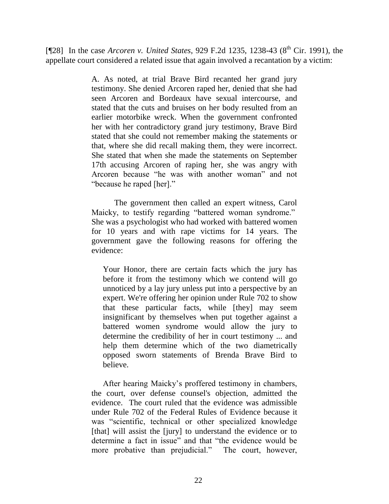[¶28] In the case *Arcoren v. United States*, 929 F.2d 1235, 1238-43 (8<sup>th</sup> Cir. 1991), the appellate court considered a related issue that again involved a recantation by a victim:

> A. As noted, at trial Brave Bird recanted her grand jury testimony. She denied Arcoren raped her, denied that she had seen Arcoren and Bordeaux have sexual intercourse, and stated that the cuts and bruises on her body resulted from an earlier motorbike wreck. When the government confronted her with her contradictory grand jury testimony, Brave Bird stated that she could not remember making the statements or that, where she did recall making them, they were incorrect. She stated that when she made the statements on September 17th accusing Arcoren of raping her, she was angry with Arcoren because "he was with another woman" and not "because he raped [her]."

> The government then called an expert witness, Carol Maicky, to testify regarding "battered woman syndrome." She was a psychologist who had worked with battered women for 10 years and with rape victims for 14 years. The government gave the following reasons for offering the evidence:

Your Honor, there are certain facts which the jury has before it from the testimony which we contend will go unnoticed by a lay jury unless put into a perspective by an expert. We're offering her opinion under [Rule 702](http://www.westlaw.com/Find/Default.wl?rs=dfa1.0&vr=2.0&DB=1004365&DocName=USFRER702&FindType=L) to show that these particular facts, while [they] may seem insignificant by themselves when put together against a battered women syndrome would allow the jury to determine the credibility of her in court testimony ... and help them determine which of the two diametrically opposed sworn statements of Brenda Brave Bird to believe.

After hearing Maicky"s proffered testimony in chambers, the court, over defense counsel's objection, admitted the evidence. The court ruled that the evidence was admissible under [Rule 702 of the Federal Rules of Evidence](http://www.westlaw.com/Find/Default.wl?rs=dfa1.0&vr=2.0&DB=1004365&DocName=USFRER702&FindType=L) because it was "scientific, technical or other specialized knowledge [that] will assist the [jury] to understand the evidence or to determine a fact in issue" and that "the evidence would be more probative than prejudicial." The court, however,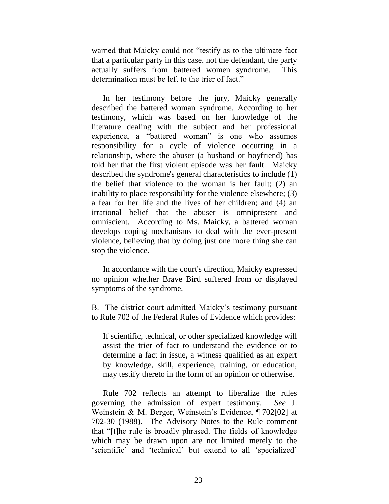warned that Maicky could not "testify as to the ultimate fact that a particular party in this case, not the defendant, the party actually suffers from battered women syndrome. This determination must be left to the trier of fact."

In her testimony before the jury, Maicky generally described the battered woman syndrome. According to her testimony, which was based on her knowledge of the literature dealing with the subject and her professional experience, a "battered woman" is one who assumes responsibility for a cycle of violence occurring in a relationship, where the abuser (a husband or boyfriend) has told her that the first violent episode was her fault. Maicky described the syndrome's general characteristics to include (1) the belief that violence to the woman is her fault; (2) an inability to place responsibility for the violence elsewhere; (3) a fear for her life and the lives of her children; and (4) an irrational belief that the abuser is omnipresent and omniscient. According to Ms. Maicky, a battered woman develops coping mechanisms to deal with the ever-present violence, believing that by doing just one more thing she can stop the violence.

In accordance with the court's direction, Maicky expressed no opinion whether Brave Bird suffered from or displayed symptoms of the syndrome.

B. The district court admitted Maicky's testimony pursuant to [Rule 702 of the Federal Rules of Evidence](http://www.westlaw.com/Find/Default.wl?rs=dfa1.0&vr=2.0&DB=1004365&DocName=USFRER702&FindType=L) which provides:

If scientific, technical, or other specialized knowledge will assist the trier of fact to understand the evidence or to determine a fact in issue, a witness qualified as an expert by knowledge, skill, experience, training, or education, may testify thereto in the form of an opinion or otherwise.

[Rule 702](http://www.westlaw.com/Find/Default.wl?rs=dfa1.0&vr=2.0&DB=1004365&DocName=USFRER702&FindType=L) reflects an attempt to liberalize the rules governing the admission of expert testimony. *See* J. Weinstein & M. Berger, Weinstein"s Evidence, ¶ 702[02] at 702-30 (1988). The Advisory Notes to the Rule comment that "[t]he rule is broadly phrased. The fields of knowledge which may be drawn upon are not limited merely to the 'scientific' and 'technical' but extend to all 'specialized'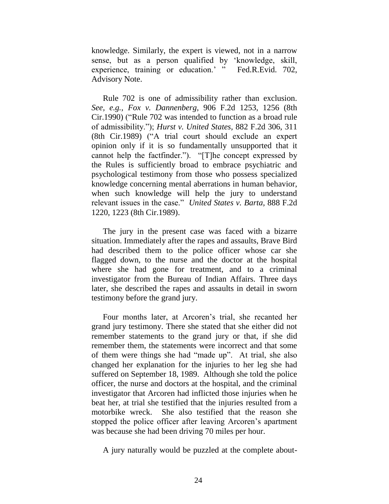knowledge. Similarly, the expert is viewed, not in a narrow sense, but as a person qualified by "knowledge, skill, experience, training or education.' " [Fed.R.Evid. 702,](http://www.westlaw.com/Find/Default.wl?rs=dfa1.0&vr=2.0&DB=1004365&DocName=USFRER702&FindType=L) Advisory Note.

[Rule 702](http://www.westlaw.com/Find/Default.wl?rs=dfa1.0&vr=2.0&DB=1004365&DocName=USFRER702&FindType=L) is one of admissibility rather than exclusion. *See, e.g., [Fox v. Dannenberg,](http://www.westlaw.com/Find/Default.wl?rs=dfa1.0&vr=2.0&DB=350&FindType=Y&ReferencePositionType=S&SerialNum=1990099897&ReferencePosition=1256)* [906 F.2d 1253, 1256 \(8th](http://www.westlaw.com/Find/Default.wl?rs=dfa1.0&vr=2.0&DB=350&FindType=Y&ReferencePositionType=S&SerialNum=1990099897&ReferencePosition=1256)  Cir.1990) (["Rule 702](http://www.westlaw.com/Find/Default.wl?rs=dfa1.0&vr=2.0&DB=1004365&DocName=USFRER702&FindType=L) was intended to function as a broad rule of admissibility."); *[Hurst v. United States,](http://www.westlaw.com/Find/Default.wl?rs=dfa1.0&vr=2.0&DB=350&FindType=Y&ReferencePositionType=S&SerialNum=1989118599&ReferencePosition=311)* [882 F.2d 306, 311](http://www.westlaw.com/Find/Default.wl?rs=dfa1.0&vr=2.0&DB=350&FindType=Y&ReferencePositionType=S&SerialNum=1989118599&ReferencePosition=311)  (8th Cir.1989) ("A trial court should exclude an expert opinion only if it is so fundamentally unsupported that it cannot help the factfinder."). "[T]he concept expressed by the Rules is sufficiently broad to embrace psychiatric and psychological testimony from those who possess specialized knowledge concerning [mental aberrations](http://www.westlaw.com/Find/Default.wl?rs=dfa1.0&vr=2.0&CMD=ML&DocName=Ic46e4ec8475411db9765f9243f53508a&FindType=UM) in human behavior, when such knowledge will help the jury to understand relevant issues in the case." *[United States v. Barta,](http://www.westlaw.com/Find/Default.wl?rs=dfa1.0&vr=2.0&DB=350&FindType=Y&ReferencePositionType=S&SerialNum=1989154818&ReferencePosition=1223)* [888 F.2d](http://www.westlaw.com/Find/Default.wl?rs=dfa1.0&vr=2.0&DB=350&FindType=Y&ReferencePositionType=S&SerialNum=1989154818&ReferencePosition=1223)  1220, 1223 (8th Cir.1989).

The jury in the present case was faced with a bizarre situation. Immediately after the rapes and assaults, Brave Bird had described them to the police officer whose car she flagged down, to the nurse and the doctor at the hospital where she had gone for treatment, and to a criminal investigator from the Bureau of Indian Affairs. Three days later, she described the rapes and assaults in detail in sworn testimony before the grand jury.

Four months later, at Arcoren"s trial, she recanted her grand jury testimony. There she stated that she either did not remember statements to the grand jury or that, if she did remember them, the statements were incorrect and that some of them were things she had "made up". At trial, she also changed her explanation for the injuries to her leg she had suffered on September 18, 1989. Although she told the police officer, the nurse and doctors at the hospital, and the criminal investigator that Arcoren had inflicted those injuries when he beat her, at trial she testified that the injuries resulted from a motorbike wreck. She also testified that the reason she stopped the police officer after leaving Arcoren"s apartment was because she had been driving 70 miles per hour.

A jury naturally would be puzzled at the complete about-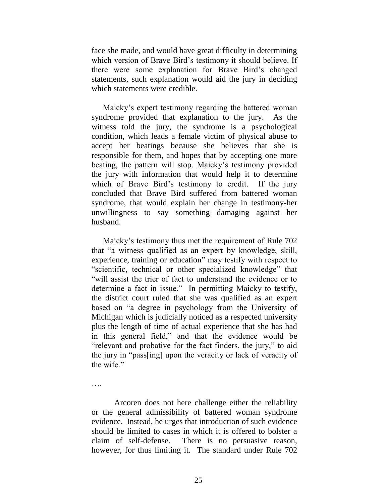face she made, and would have great difficulty in determining which version of Brave Bird's testimony it should believe. If there were some explanation for Brave Bird"s changed statements, such explanation would aid the jury in deciding which statements were credible.

Maicky"s expert testimony regarding the battered woman syndrome provided that explanation to the jury. As the witness told the jury, the syndrome is a psychological condition, which leads a female victim of physical abuse to accept her beatings because she believes that she is responsible for them, and hopes that by accepting one more beating, the pattern will stop. Maicky"s testimony provided the jury with information that would help it to determine which of Brave Bird's testimony to credit. If the jury concluded that Brave Bird suffered from battered woman syndrome, that would explain her change in testimony-her unwillingness to say something damaging against her husband.

Maicky"s testimony thus met the requirement of [Rule 702](http://www.westlaw.com/Find/Default.wl?rs=dfa1.0&vr=2.0&DB=1004365&DocName=USFRER702&FindType=L) that "a witness qualified as an expert by knowledge, skill, experience, training or education" may testify with respect to "scientific, technical or other specialized knowledge" that "will assist the trier of fact to understand the evidence or to determine a fact in issue." In permitting Maicky to testify, the district court ruled that she was qualified as an expert based on "a degree in psychology from the University of Michigan which is judicially noticed as a respected university plus the length of time of actual experience that she has had in this general field," and that the evidence would be "relevant and probative for the fact finders, the jury," to aid the jury in "pass[ing] upon the veracity or lack of veracity of the wife."

….

Arcoren does not here challenge either the reliability or the general admissibility of battered woman syndrome evidence. Instead, he urges that introduction of such evidence should be limited to cases in which it is offered to bolster a claim of self-defense. There is no persuasive reason, however, for thus limiting it. The standard under [Rule 702](http://www.westlaw.com/Find/Default.wl?rs=dfa1.0&vr=2.0&DB=1004365&DocName=USFRER702&FindType=L)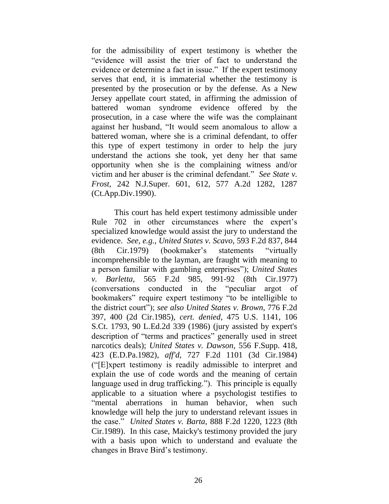for the admissibility of expert testimony is whether the "evidence will assist the trier of fact to understand the evidence or determine a fact in issue." If the expert testimony serves that end, it is immaterial whether the testimony is presented by the prosecution or by the defense. As a New Jersey appellate court stated, in affirming the admission of battered woman syndrome evidence offered by the prosecution, in a case where the wife was the complainant against her husband, "It would seem anomalous to allow a battered woman, where she is a criminal defendant, to offer this type of expert testimony in order to help the jury understand the actions she took, yet deny her that same opportunity when she is the complaining witness and/or victim and her abuser is the criminal defendant." *See [State v.](http://www.westlaw.com/Find/Default.wl?rs=dfa1.0&vr=2.0&DB=162&FindType=Y&ReferencePositionType=S&SerialNum=1990123608&ReferencePosition=1287)  [Frost,](http://www.westlaw.com/Find/Default.wl?rs=dfa1.0&vr=2.0&DB=162&FindType=Y&ReferencePositionType=S&SerialNum=1990123608&ReferencePosition=1287)* [242 N.J.Super. 601, 612, 577 A.2d 1282, 1287](http://www.westlaw.com/Find/Default.wl?rs=dfa1.0&vr=2.0&DB=162&FindType=Y&ReferencePositionType=S&SerialNum=1990123608&ReferencePosition=1287)  (Ct.App.Div.1990).

This court has held expert testimony admissible under [Rule 702](http://www.westlaw.com/Find/Default.wl?rs=dfa1.0&vr=2.0&DB=1004365&DocName=USFRER702&FindType=L) in other circumstances where the expert's specialized knowledge would assist the jury to understand the evidence. *See, e.g., [United States v. Scavo,](http://www.westlaw.com/Find/Default.wl?rs=dfa1.0&vr=2.0&DB=350&FindType=Y&ReferencePositionType=S&SerialNum=1979102217&ReferencePosition=844)* [593 F.2d 837, 844](http://www.westlaw.com/Find/Default.wl?rs=dfa1.0&vr=2.0&DB=350&FindType=Y&ReferencePositionType=S&SerialNum=1979102217&ReferencePosition=844)  (8th Cir.1979) (bookmaker"s statements "virtually incomprehensible to the layman, are fraught with meaning to a person familiar with gambling enterprises"); *[United States](http://www.westlaw.com/Find/Default.wl?rs=dfa1.0&vr=2.0&DB=350&FindType=Y&ReferencePositionType=S&SerialNum=1977124509&ReferencePosition=991)  [v. Barletta,](http://www.westlaw.com/Find/Default.wl?rs=dfa1.0&vr=2.0&DB=350&FindType=Y&ReferencePositionType=S&SerialNum=1977124509&ReferencePosition=991)* [565 F.2d 985, 991-92 \(8th Cir.1977\)](http://www.westlaw.com/Find/Default.wl?rs=dfa1.0&vr=2.0&DB=350&FindType=Y&ReferencePositionType=S&SerialNum=1977124509&ReferencePosition=991) (conversations conducted in the "peculiar argot of bookmakers" require expert testimony "to be intelligible to the district court"); *see also [United States v. Brown,](http://www.westlaw.com/Find/Default.wl?rs=dfa1.0&vr=2.0&DB=350&FindType=Y&ReferencePositionType=S&SerialNum=1985154649&ReferencePosition=400)* [776 F.2d](http://www.westlaw.com/Find/Default.wl?rs=dfa1.0&vr=2.0&DB=350&FindType=Y&ReferencePositionType=S&SerialNum=1985154649&ReferencePosition=400)  397, 400 (2d Cir.1985), *cert. denied,* [475 U.S. 1141, 106](http://www.westlaw.com/Find/Default.wl?rs=dfa1.0&vr=2.0&DB=708&FindType=Y&SerialNum=1986223181)  [S.Ct. 1793, 90 L.Ed.2d 339 \(1986\)](http://www.westlaw.com/Find/Default.wl?rs=dfa1.0&vr=2.0&DB=708&FindType=Y&SerialNum=1986223181) (jury assisted by expert's description of "terms and practices" generally used in street narcotics deals); *[United States v. Dawson,](http://www.westlaw.com/Find/Default.wl?rs=dfa1.0&vr=2.0&DB=345&FindType=Y&ReferencePositionType=S&SerialNum=1983103952&ReferencePosition=423)* [556 F.Supp. 418,](http://www.westlaw.com/Find/Default.wl?rs=dfa1.0&vr=2.0&DB=345&FindType=Y&ReferencePositionType=S&SerialNum=1983103952&ReferencePosition=423)  423 (E.D.Pa.1982), *aff'd,* [727 F.2d 1101 \(3d Cir.1984\)](http://www.westlaw.com/Find/Default.wl?rs=dfa1.0&vr=2.0&DB=350&FindType=Y&SerialNum=1984206651) ("[E]xpert testimony is readily admissible to interpret and explain the use of code words and the meaning of certain language used in drug trafficking."). This principle is equally applicable to a situation where a psychologist testifies to ["mental aberrations](http://www.westlaw.com/Find/Default.wl?rs=dfa1.0&vr=2.0&CMD=ML&DocName=Ic46e4ec8475411db9765f9243f53508a&FindType=UM) in human behavior, when such knowledge will help the jury to understand relevant issues in the case." *[United States v. Barta,](http://www.westlaw.com/Find/Default.wl?rs=dfa1.0&vr=2.0&DB=350&FindType=Y&ReferencePositionType=S&SerialNum=1989154818&ReferencePosition=1223)* [888 F.2d 1220, 1223 \(8th](http://www.westlaw.com/Find/Default.wl?rs=dfa1.0&vr=2.0&DB=350&FindType=Y&ReferencePositionType=S&SerialNum=1989154818&ReferencePosition=1223)  Cir.1989). In this case, Maicky's testimony provided the jury with a basis upon which to understand and evaluate the changes in Brave Bird"s testimony.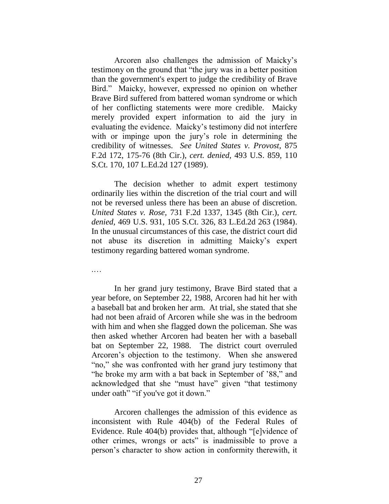Arcoren also challenges the admission of Maicky"s testimony on the ground that "the jury was in a better position than the government's expert to judge the credibility of Brave Bird." Maicky, however, expressed no opinion on whether Brave Bird suffered from battered woman syndrome or which of her conflicting statements were more credible. Maicky merely provided expert information to aid the jury in evaluating the evidence. Maicky"s testimony did not interfere with or impinge upon the jury's role in determining the credibility of witnesses. *See [United States v. Provost,](http://www.westlaw.com/Find/Default.wl?rs=dfa1.0&vr=2.0&DB=350&FindType=Y&ReferencePositionType=S&SerialNum=1989072710&ReferencePosition=175)* [875](http://www.westlaw.com/Find/Default.wl?rs=dfa1.0&vr=2.0&DB=350&FindType=Y&ReferencePositionType=S&SerialNum=1989072710&ReferencePosition=175)  F.2d 172, 175-76 (8th Cir.), *cert. denied,* [493 U.S. 859, 110](http://www.westlaw.com/Find/Default.wl?rs=dfa1.0&vr=2.0&DB=708&FindType=Y&SerialNum=1989142285)  S.Ct. 170, 107 [L.Ed.2d 127 \(1989\).](http://www.westlaw.com/Find/Default.wl?rs=dfa1.0&vr=2.0&DB=708&FindType=Y&SerialNum=1989142285)

The decision whether to admit expert testimony ordinarily lies within the discretion of the trial court and will not be reversed unless there has been an abuse of discretion. *[United States v. Rose,](http://www.westlaw.com/Find/Default.wl?rs=dfa1.0&vr=2.0&DB=350&FindType=Y&ReferencePositionType=S&SerialNum=1984116272&ReferencePosition=1345)* [731 F.2d 1337, 1345 \(8th Cir.\),](http://www.westlaw.com/Find/Default.wl?rs=dfa1.0&vr=2.0&DB=350&FindType=Y&ReferencePositionType=S&SerialNum=1984116272&ReferencePosition=1345) *cert. denied,* [469 U.S. 931, 105 S.Ct. 326, 83 L.Ed.2d 263 \(1984\).](http://www.westlaw.com/Find/Default.wl?rs=dfa1.0&vr=2.0&DB=708&FindType=Y&SerialNum=1984243386) In the unusual circumstances of this case, the district court did not abuse its discretion in admitting Maicky"s expert testimony regarding battered woman syndrome.

.…

In her grand jury testimony, Brave Bird stated that a year before, on September 22, 1988, Arcoren had hit her with a baseball bat and broken her arm. At trial, she stated that she had not been afraid of Arcoren while she was in the bedroom with him and when she flagged down the policeman. She was then asked whether Arcoren had beaten her with a baseball bat on September 22, 1988. The district court overruled Arcoren"s objection to the testimony. When she answered "no," she was confronted with her grand jury testimony that "he broke my arm with a bat back in September of "88," and acknowledged that she "must have" given "that testimony under oath" "if you've got it down."

Arcoren challenges the admission of this evidence as inconsistent with [Rule 404\(b\) of the Federal Rules of](http://www.westlaw.com/Find/Default.wl?rs=dfa1.0&vr=2.0&DB=1004365&DocName=USFRER404&FindType=L)  [Evidence. Rule 404\(b\)](http://www.westlaw.com/Find/Default.wl?rs=dfa1.0&vr=2.0&DB=1004365&DocName=USFRER404&FindType=L) provides that, although "[e]vidence of other crimes, wrongs or acts" is inadmissible to prove a person"s character to show action in conformity therewith, it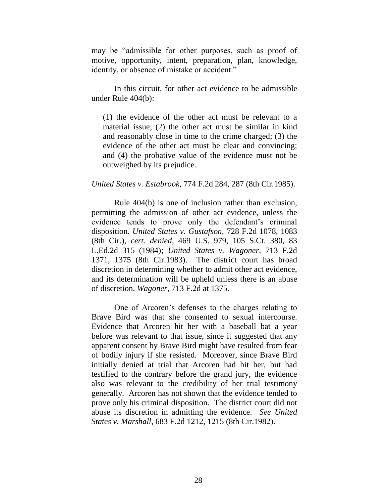may be "admissible for other purposes, such as proof of motive, opportunity, intent, preparation, plan, knowledge, identity, or absence of mistake or accident."

In this circuit, for other act evidence to be admissible under [Rule 404\(b\):](http://www.westlaw.com/Find/Default.wl?rs=dfa1.0&vr=2.0&DB=1004365&DocName=USFRER404&FindType=L)

(1) the evidence of the other act must be relevant to a material issue; (2) the other act must be similar in kind and reasonably close in time to the crime charged; (3) the evidence of the other act must be clear and convincing; and (4) the probative value of the evidence must not be outweighed by its prejudice.

#### *[United States v. Estabrook,](http://www.westlaw.com/Find/Default.wl?rs=dfa1.0&vr=2.0&DB=350&FindType=Y&ReferencePositionType=S&SerialNum=1985148200&ReferencePosition=287)* [774 F.2d 284, 287 \(8th Cir.1985\).](http://www.westlaw.com/Find/Default.wl?rs=dfa1.0&vr=2.0&DB=350&FindType=Y&ReferencePositionType=S&SerialNum=1985148200&ReferencePosition=287)

[Rule 404\(b\)](http://www.westlaw.com/Find/Default.wl?rs=dfa1.0&vr=2.0&DB=1004365&DocName=USFRER404&FindType=L) is one of inclusion rather than exclusion, permitting the admission of other act evidence, unless the evidence tends to prove only the defendant's criminal disposition. *[United States v. Gustafson,](http://www.westlaw.com/Find/Default.wl?rs=dfa1.0&vr=2.0&DB=350&FindType=Y&ReferencePositionType=S&SerialNum=1984110340&ReferencePosition=1083)* [728 F.2d 1078, 1083](http://www.westlaw.com/Find/Default.wl?rs=dfa1.0&vr=2.0&DB=350&FindType=Y&ReferencePositionType=S&SerialNum=1984110340&ReferencePosition=1083)  (8th Cir.), *cert. denied,* [469 U.S. 979, 105 S.Ct. 380, 83](http://www.westlaw.com/Find/Default.wl?rs=dfa1.0&vr=2.0&DB=708&FindType=Y&SerialNum=1984244870)  [L.Ed.2d 315 \(1984\);](http://www.westlaw.com/Find/Default.wl?rs=dfa1.0&vr=2.0&DB=708&FindType=Y&SerialNum=1984244870) *[United States v. Wagoner,](http://www.westlaw.com/Find/Default.wl?rs=dfa1.0&vr=2.0&DB=350&FindType=Y&ReferencePositionType=S&SerialNum=1983136563&ReferencePosition=1375)* [713 F.2d](http://www.westlaw.com/Find/Default.wl?rs=dfa1.0&vr=2.0&DB=350&FindType=Y&ReferencePositionType=S&SerialNum=1983136563&ReferencePosition=1375)  1371, 1375 (8th Cir.1983). The district court has broad discretion in determining whether to admit other act evidence, and its determination will be upheld unless there is an abuse of discretion. *[Wagoner,](http://www.westlaw.com/Find/Default.wl?rs=dfa1.0&vr=2.0&DB=350&FindType=Y&ReferencePositionType=S&SerialNum=1983136563&ReferencePosition=1375)* [713 F.2d at 1375.](http://www.westlaw.com/Find/Default.wl?rs=dfa1.0&vr=2.0&DB=350&FindType=Y&ReferencePositionType=S&SerialNum=1983136563&ReferencePosition=1375)

One of Arcoren"s defenses to the charges relating to Brave Bird was that she consented to sexual intercourse. Evidence that Arcoren hit her with a baseball bat a year before was relevant to that issue, since it suggested that any apparent consent by Brave Bird might have resulted from fear of bodily injury if she resisted. Moreover, since Brave Bird initially denied at trial that Arcoren had hit her, but had testified to the contrary before the grand jury, the evidence also was relevant to the credibility of her trial testimony generally. Arcoren has not shown that the evidence tended to prove only his criminal disposition. The district court did not abuse its discretion in admitting the evidence. *See [United](http://www.westlaw.com/Find/Default.wl?rs=dfa1.0&vr=2.0&DB=350&FindType=Y&ReferencePositionType=S&SerialNum=1982134692&ReferencePosition=1215)  [States v. Marshall,](http://www.westlaw.com/Find/Default.wl?rs=dfa1.0&vr=2.0&DB=350&FindType=Y&ReferencePositionType=S&SerialNum=1982134692&ReferencePosition=1215)* [683 F.2d 1212, 1215 \(8th Cir.1982\).](http://www.westlaw.com/Find/Default.wl?rs=dfa1.0&vr=2.0&DB=350&FindType=Y&ReferencePositionType=S&SerialNum=1982134692&ReferencePosition=1215)